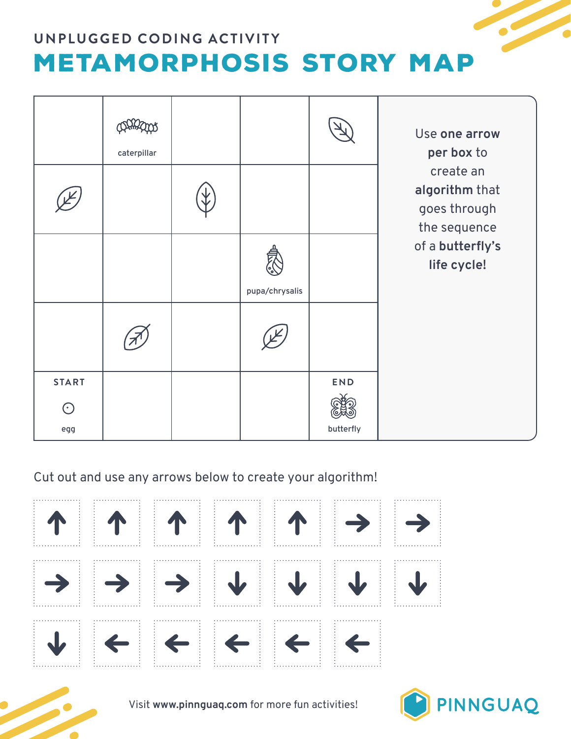

|                | caterpillar |                |           | Use one arrow<br>per box to                                                                    |
|----------------|-------------|----------------|-----------|------------------------------------------------------------------------------------------------|
|                |             |                |           | create an<br>algorithm that<br>goes through<br>the sequence<br>of a butterfly's<br>life cycle! |
|                |             | pupa/chrysalis |           |                                                                                                |
|                |             |                |           |                                                                                                |
| <b>START</b>   |             |                | END       |                                                                                                |
| $\odot$<br>egg |             |                | butterfly |                                                                                                |

Cut out and use any arrows below to create your algorithm!





Visit **www.pinnguaq.com** for more fun activities!